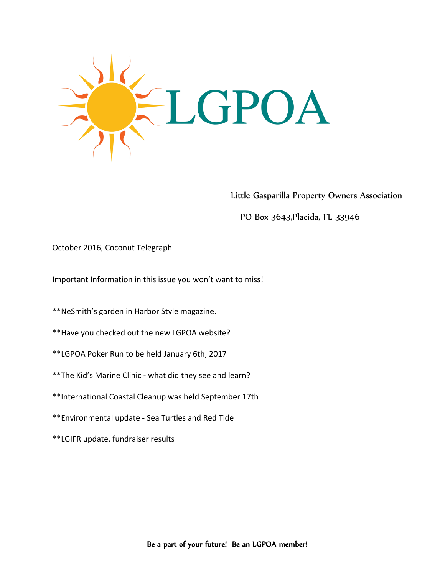

Little Gasparilla Property Owners Association

PO Box 3643,Placida, FL 33946

## October 2016, Coconut Telegraph

Important Information in this issue you won't want to miss!

\*\*NeSmith's garden in Harbor Style magazine.

- \*\*Have you checked out the new LGPOA website?
- \*\*LGPOA Poker Run to be held January 6th, 2017
- \*\*The Kid's Marine Clinic what did they see and learn?
- \*\*International Coastal Cleanup was held September 17th
- \*\*Environmental update Sea Turtles and Red Tide
- \*\*LGIFR update, fundraiser results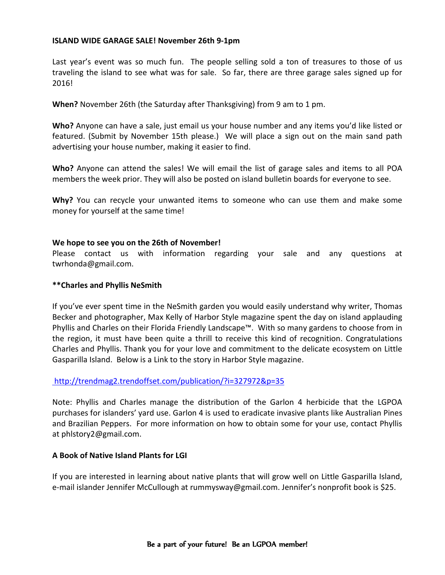#### **ISLAND WIDE GARAGE SALE! November 26th 9-1pm**

Last year's event was so much fun. The people selling sold a ton of treasures to those of us traveling the island to see what was for sale. So far, there are three garage sales signed up for 2016!

**When?** November 26th (the Saturday after Thanksgiving) from 9 am to 1 pm.

**Who?** Anyone can have a sale, just email us your house number and any items you'd like listed or featured. (Submit by November 15th please.) We will place a sign out on the main sand path advertising your house number, making it easier to find.

**Who?** Anyone can attend the sales! We will email the list of garage sales and items to all POA members the week prior. They will also be posted on island bulletin boards for everyone to see.

**Why?** You can recycle your unwanted items to someone who can use them and make some money for yourself at the same time!

#### **We hope to see you on the 26th of November!**

Please contact us with information regarding your sale and any questions at twrhonda@gmail.com.

#### **\*\*Charles and Phyllis NeSmith**

If you've ever spent time in the NeSmith garden you would easily understand why writer, Thomas Becker and photographer, Max Kelly of Harbor Style magazine spent the day on island applauding Phyllis and Charles on their Florida Friendly Landscape™. With so many gardens to choose from in the region, it must have been quite a thrill to receive this kind of recognition. Congratulations Charles and Phyllis. Thank you for your love and commitment to the delicate ecosystem on Little Gasparilla Island. Below is a Link to the story in Harbor Style magazine.

## <http://trendmag2.trendoffset.com/publication/?i=327972&p=35>

Note: Phyllis and Charles manage the distribution of the Garlon 4 herbicide that the LGPOA purchases for islanders' yard use. Garlon 4 is used to eradicate invasive plants like Australian Pines and Brazilian Peppers. For more information on how to obtain some for your use, contact Phyllis at phlstory2@gmail.com.

## **A Book of Native Island Plants for LGI**

If you are interested in learning about native plants that will grow well on Little Gasparilla Island, e-mail islander Jennifer McCullough at rummysway@gmail.com. Jennifer's nonprofit book is \$25.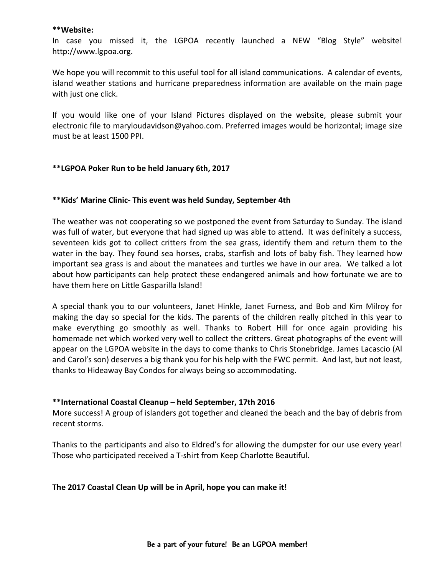#### **\*\*Website:**

In case you missed it, the LGPOA recently launched a NEW "Blog Style" website! http://www.lgpoa.org.

We hope you will recommit to this useful tool for all island communications. A calendar of events, island weather stations and hurricane preparedness information are available on the main page with just one click.

If you would like one of your Island Pictures displayed on the website, please submit your electronic file to maryloudavidson@yahoo.com. Preferred images would be horizontal; image size must be at least 1500 PPI.

## **\*\*LGPOA Poker Run to be held January 6th, 2017**

## **\*\*Kids' Marine Clinic- This event was held Sunday, September 4th**

The weather was not cooperating so we postponed the event from Saturday to Sunday. The island was full of water, but everyone that had signed up was able to attend. It was definitely a success, seventeen kids got to collect critters from the sea grass, identify them and return them to the water in the bay. They found sea horses, crabs, starfish and lots of baby fish. They learned how important sea grass is and about the manatees and turtles we have in our area. We talked a lot about how participants can help protect these endangered animals and how fortunate we are to have them here on Little Gasparilla Island!

A special thank you to our volunteers, Janet Hinkle, Janet Furness, and Bob and Kim Milroy for making the day so special for the kids. The parents of the children really pitched in this year to make everything go smoothly as well. Thanks to Robert Hill for once again providing his homemade net which worked very well to collect the critters. Great photographs of the event will appear on the LGPOA website in the days to come thanks to Chris Stonebridge. James Lacascio (Al and Carol's son) deserves a big thank you for his help with the FWC permit. And last, but not least, thanks to Hideaway Bay Condos for always being so accommodating.

## **\*\*International Coastal Cleanup – held September, 17th 2016**

More success! A group of islanders got together and cleaned the beach and the bay of debris from recent storms.

Thanks to the participants and also to Eldred's for allowing the dumpster for our use every year! Those who participated received a T-shirt from Keep Charlotte Beautiful.

## **The 2017 Coastal Clean Up will be in April, hope you can make it!**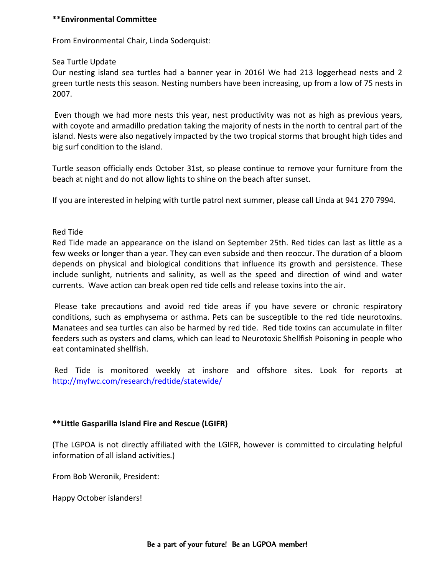#### **\*\*Environmental Committee**

From Environmental Chair, Linda Soderquist:

Sea Turtle Update

Our nesting island sea turtles had a banner year in 2016! We had 213 loggerhead nests and 2 green turtle nests this season. Nesting numbers have been increasing, up from a low of 75 nests in 2007.

Even though we had more nests this year, nest productivity was not as high as previous years, with coyote and armadillo predation taking the majority of nests in the north to central part of the island. Nests were also negatively impacted by the two tropical storms that brought high tides and big surf condition to the island.

Turtle season officially ends October 31st, so please continue to remove your furniture from the beach at night and do not allow lights to shine on the beach after sunset.

If you are interested in helping with turtle patrol next summer, please call Linda at 941 270 7994.

#### Red Tide

Red Tide made an appearance on the island on September 25th. Red tides can last as little as a few weeks or longer than a year. They can even subside and then reoccur. The duration of a bloom depends on physical and biological conditions that influence its growth and persistence. These include sunlight, nutrients and salinity, as well as the speed and direction of wind and water currents. Wave action can break open red tide cells and release toxins into the air.

Please take precautions and avoid red tide areas if you have severe or chronic respiratory conditions, such as emphysema or asthma. Pets can be susceptible to the red tide neurotoxins. Manatees and sea turtles can also be harmed by red tide. Red tide toxins can accumulate in filter feeders such as oysters and clams, which can lead to Neurotoxic Shellfish Poisoning in people who eat contaminated shellfish.

Red Tide is monitored weekly at inshore and offshore sites. Look for reports at <http://myfwc.com/research/redtide/statewide/>

## **\*\*Little Gasparilla Island Fire and Rescue (LGIFR)**

(The LGPOA is not directly affiliated with the LGIFR, however is committed to circulating helpful information of all island activities.)

From Bob Weronik, President:

Happy October islanders!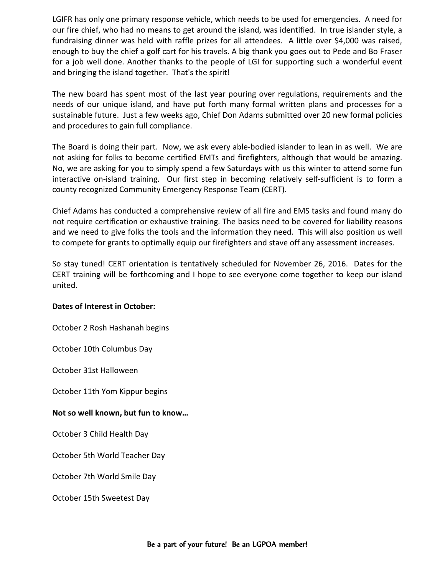LGIFR has only one primary response vehicle, which needs to be used for emergencies. A need for our fire chief, who had no means to get around the island, was identified. In true islander style, a fundraising dinner was held with raffle prizes for all attendees. A little over \$4,000 was raised, enough to buy the chief a golf cart for his travels. A big thank you goes out to Pede and Bo Fraser for a job well done. Another thanks to the people of LGI for supporting such a wonderful event and bringing the island together. That's the spirit!

The new board has spent most of the last year pouring over regulations, requirements and the needs of our unique island, and have put forth many formal written plans and processes for a sustainable future. Just a few weeks ago, Chief Don Adams submitted over 20 new formal policies and procedures to gain full compliance.

The Board is doing their part. Now, we ask every able-bodied islander to lean in as well. We are not asking for folks to become certified EMTs and firefighters, although that would be amazing. No, we are asking for you to simply spend a few Saturdays with us this winter to attend some fun interactive on-island training. Our first step in becoming relatively self-sufficient is to form a county recognized Community Emergency Response Team (CERT).

Chief Adams has conducted a comprehensive review of all fire and EMS tasks and found many do not require certification or exhaustive training. The basics need to be covered for liability reasons and we need to give folks the tools and the information they need. This will also position us well to compete for grants to optimally equip our firefighters and stave off any assessment increases.

So stay tuned! CERT orientation is tentatively scheduled for November 26, 2016. Dates for the CERT training will be forthcoming and I hope to see everyone come together to keep our island united.

## **Dates of Interest in October:**

October 2 Rosh Hashanah begins

October 10th Columbus Day

October 31st Halloween

October 11th Yom Kippur begins

## **Not so well known, but fun to know…**

October 3 Child Health Day

October 5th World Teacher Day

October 7th World Smile Day

October 15th Sweetest Day